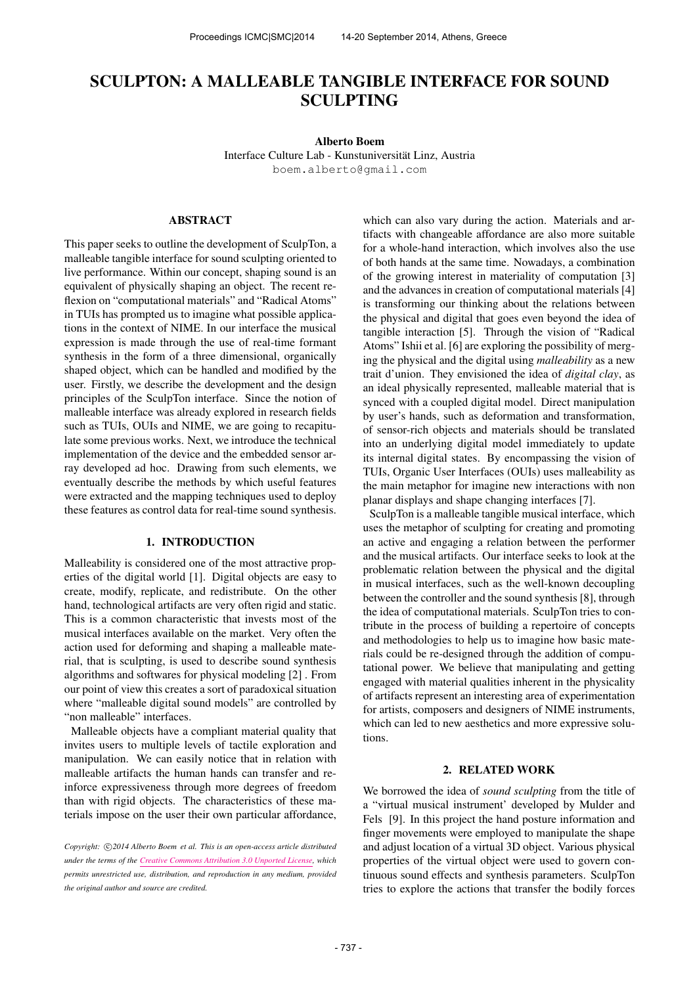# SCULPTON: A MALLEABLE TANGIBLE INTERFACE FOR SOUND SCULPTING

Alberto Boem

Interface Culture Lab - Kunstuniversitat Linz, Austria ¨ [boem.alberto@gmail.com](mailto:boem.alberto@gmail.com)

## ABSTRACT

This paper seeks to outline the development of SculpTon, a malleable tangible interface for sound sculpting oriented to live performance. Within our concept, shaping sound is an equivalent of physically shaping an object. The recent reflexion on "computational materials" and "Radical Atoms" in TUIs has prompted us to imagine what possible applications in the context of NIME. In our interface the musical expression is made through the use of real-time formant synthesis in the form of a three dimensional, organically shaped object, which can be handled and modified by the user. Firstly, we describe the development and the design principles of the SculpTon interface. Since the notion of malleable interface was already explored in research fields such as TUIs, OUIs and NIME, we are going to recapitulate some previous works. Next, we introduce the technical implementation of the device and the embedded sensor array developed ad hoc. Drawing from such elements, we eventually describe the methods by which useful features were extracted and the mapping techniques used to deploy these features as control data for real-time sound synthesis.

## 1. INTRODUCTION

Malleability is considered one of the most attractive properties of the digital world [1]. Digital objects are easy to create, modify, replicate, and redistribute. On the other hand, technological artifacts are very often rigid and static. This is a common characteristic that invests most of the musical interfaces available on the market. Very often the action used for deforming and shaping a malleable material, that is sculpting, is used to describe sound synthesis algorithms and softwares for physical modeling [2] . From our point of view this creates a sort of paradoxical situation where "malleable digital sound models" are controlled by "non malleable" interfaces.

Malleable objects have a compliant material quality that invites users to multiple levels of tactile exploration and manipulation. We can easily notice that in relation with malleable artifacts the human hands can transfer and reinforce expressiveness through more degrees of freedom than with rigid objects. The characteristics of these materials impose on the user their own particular affordance, which can also vary during the action. Materials and artifacts with changeable affordance are also more suitable for a whole-hand interaction, which involves also the use of both hands at the same time. Nowadays, a combination of the growing interest in materiality of computation [3] and the advances in creation of computational materials [4] is transforming our thinking about the relations between the physical and digital that goes even beyond the idea of tangible interaction [5]. Through the vision of "Radical Atoms" Ishii et al. [6] are exploring the possibility of merging the physical and the digital using *malleability* as a new trait d'union. They envisioned the idea of *digital clay*, as an ideal physically represented, malleable material that is synced with a coupled digital model. Direct manipulation by user's hands, such as deformation and transformation, of sensor-rich objects and materials should be translated into an underlying digital model immediately to update its internal digital states. By encompassing the vision of TUIs, Organic User Interfaces (OUIs) uses malleability as the main metaphor for imagine new interactions with non planar displays and shape changing interfaces [7].

SculpTon is a malleable tangible musical interface, which uses the metaphor of sculpting for creating and promoting an active and engaging a relation between the performer and the musical artifacts. Our interface seeks to look at the problematic relation between the physical and the digital in musical interfaces, such as the well-known decoupling between the controller and the sound synthesis [8], through the idea of computational materials. SculpTon tries to contribute in the process of building a repertoire of concepts and methodologies to help us to imagine how basic materials could be re-designed through the addition of computational power. We believe that manipulating and getting engaged with material qualities inherent in the physicality of artifacts represent an interesting area of experimentation for artists, composers and designers of NIME instruments, which can led to new aesthetics and more expressive solutions.

#### 2. RELATED WORK

We borrowed the idea of *sound sculpting* from the title of a "virtual musical instrument' developed by Mulder and Fels [9]. In this project the hand posture information and finger movements were employed to manipulate the shape and adjust location of a virtual 3D object. Various physical properties of the virtual object were used to govern continuous sound effects and synthesis parameters. SculpTon tries to explore the actions that transfer the bodily forces

Copyright:  $\bigcirc$ 2014 Alberto Boem et al. This is an open-access article distributed *under the terms of the [Creative Commons Attribution 3.0 Unported License,](http://creativecommons.org/licenses/by/3.0/) which permits unrestricted use, distribution, and reproduction in any medium, provided the original author and source are credited.*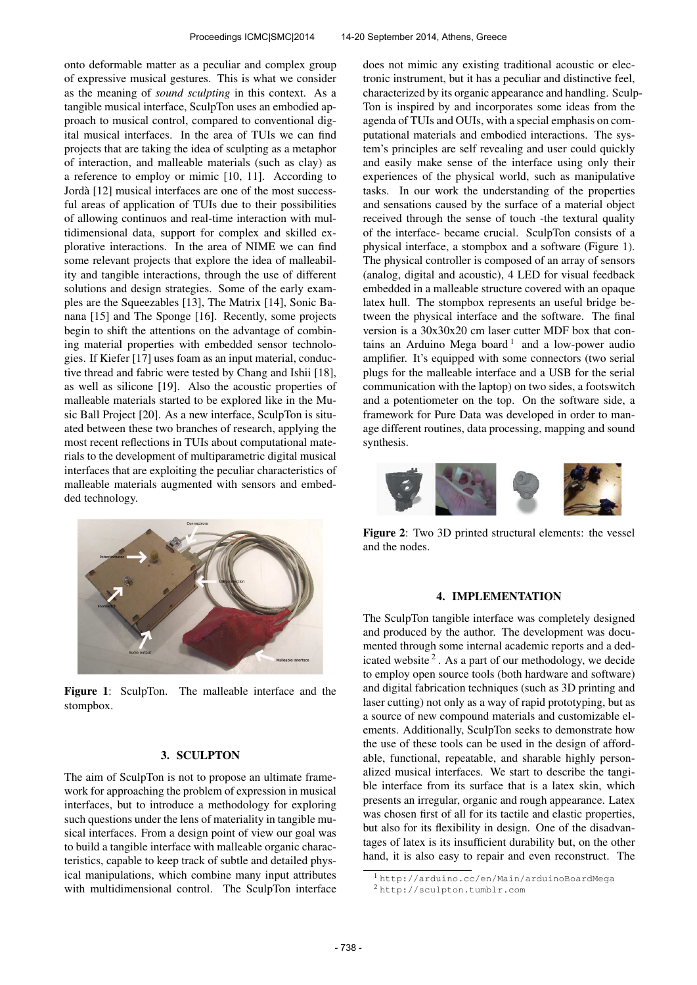onto deformable matter as a peculiar and complex group of expressive musical gestures. This is what we consider as the meaning of *sound sculpting* in this context. As a tangible musical interface, SculpTon uses an embodied approach to musical control, compared to conventional digital musical interfaces. In the area of TUIs we can find projects that are taking the idea of sculpting as a metaphor of interaction, and malleable materials (such as clay) as a reference to employ or mimic [10, 11]. According to Jorda [12] musical interfaces are one of the most success- ` ful areas of application of TUIs due to their possibilities of allowing continuos and real-time interaction with multidimensional data, support for complex and skilled explorative interactions. In the area of NIME we can find some relevant projects that explore the idea of malleability and tangible interactions, through the use of different solutions and design strategies. Some of the early examples are the Squeezables [13], The Matrix [14], Sonic Banana [15] and The Sponge [16]. Recently, some projects begin to shift the attentions on the advantage of combining material properties with embedded sensor technologies. If Kiefer [17] uses foam as an input material, conductive thread and fabric were tested by Chang and Ishii [18], as well as silicone [19]. Also the acoustic properties of malleable materials started to be explored like in the Music Ball Project [20]. As a new interface, SculpTon is situated between these two branches of research, applying the most recent reflections in TUIs about computational materials to the development of multiparametric digital musical interfaces that are exploiting the peculiar characteristics of malleable materials augmented with sensors and embedded technology.



Figure 1: SculpTon. The malleable interface and the stompbox.

## 3. SCULPTON

The aim of SculpTon is not to propose an ultimate framework for approaching the problem of expression in musical interfaces, but to introduce a methodology for exploring such questions under the lens of materiality in tangible musical interfaces. From a design point of view our goal was to build a tangible interface with malleable organic characteristics, capable to keep track of subtle and detailed physical manipulations, which combine many input attributes with multidimensional control. The SculpTon interface does not mimic any existing traditional acoustic or electronic instrument, but it has a peculiar and distinctive feel, characterized by its organic appearance and handling. Sculp-Ton is inspired by and incorporates some ideas from the agenda of TUIs and OUIs, with a special emphasis on computational materials and embodied interactions. The system's principles are self revealing and user could quickly and easily make sense of the interface using only their experiences of the physical world, such as manipulative tasks. In our work the understanding of the properties and sensations caused by the surface of a material object received through the sense of touch -the textural quality of the interface- became crucial. SculpTon consists of a physical interface, a stompbox and a software (Figure 1). The physical controller is composed of an array of sensors (analog, digital and acoustic), 4 LED for visual feedback embedded in a malleable structure covered with an opaque latex hull. The stompbox represents an useful bridge between the physical interface and the software. The final version is a 30x30x20 cm laser cutter MDF box that contains an Arduino Mega board<sup>1</sup> and a low-power audio amplifier. It's equipped with some connectors (two serial plugs for the malleable interface and a USB for the serial communication with the laptop) on two sides, a footswitch and a potentiometer on the top. On the software side, a framework for Pure Data was developed in order to manage different routines, data processing, mapping and sound synthesis.



Figure 2: Two 3D printed structural elements: the vessel and the nodes.

#### 4. IMPLEMENTATION

The SculpTon tangible interface was completely designed and produced by the author. The development was documented through some internal academic reports and a dedicated website  $2$ . As a part of our methodology, we decide to employ open source tools (both hardware and software) and digital fabrication techniques (such as 3D printing and laser cutting) not only as a way of rapid prototyping, but as a source of new compound materials and customizable elements. Additionally, SculpTon seeks to demonstrate how the use of these tools can be used in the design of affordable, functional, repeatable, and sharable highly personalized musical interfaces. We start to describe the tangible interface from its surface that is a latex skin, which presents an irregular, organic and rough appearance. Latex was chosen first of all for its tactile and elastic properties, but also for its flexibility in design. One of the disadvantages of latex is its insufficient durability but, on the other hand, it is also easy to repair and even reconstruct. The

<sup>1</sup> <http://arduino.cc/en/Main/arduinoBoardMega> <sup>2</sup> <http://sculpton.tumblr.com>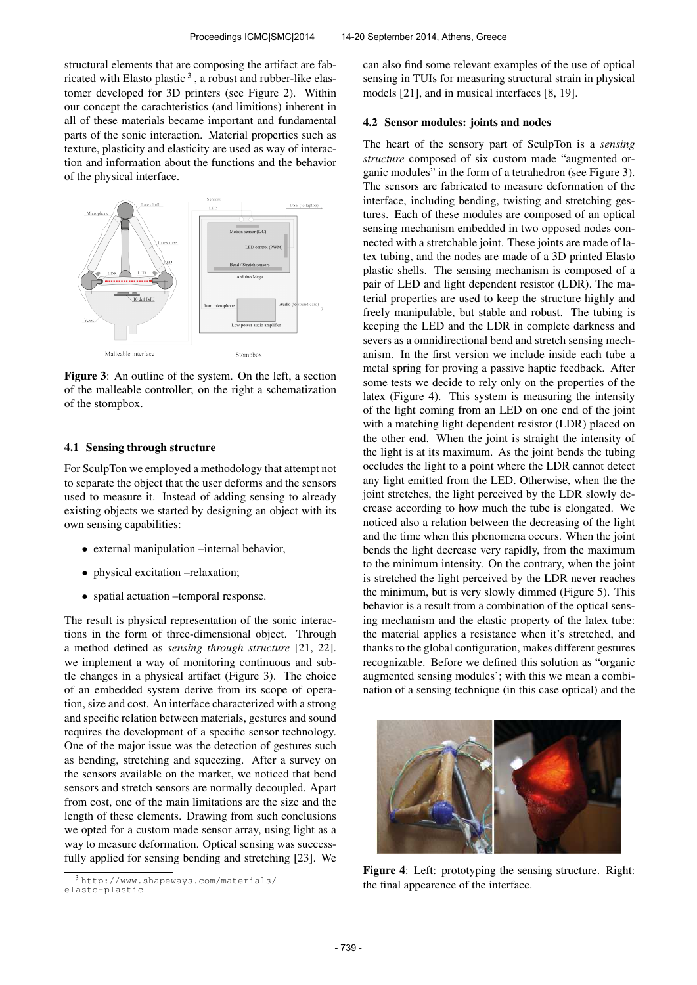structural elements that are composing the artifact are fabricated with Elasto plastic<sup>3</sup>, a robust and rubber-like elastomer developed for 3D printers (see Figure 2). Within our concept the carachteristics (and limitions) inherent in all of these materials became important and fundamental parts of the sonic interaction. Material properties such as texture, plasticity and elasticity are used as way of interaction and information about the functions and the behavior of the physical interface.



Figure 3: An outline of the system. On the left, a section of the malleable controller; on the right a schematization of the stompbox.

#### 4.1 Sensing through structure

For SculpTon we employed a methodology that attempt not to separate the object that the user deforms and the sensors used to measure it. Instead of adding sensing to already existing objects we started by designing an object with its own sensing capabilities:

- external manipulation –internal behavior,
- physical excitation –relaxation;
- spatial actuation –temporal response.

The result is physical representation of the sonic interactions in the form of three-dimensional object. Through a method defined as *sensing through structure* [21, 22]. we implement a way of monitoring continuous and subtle changes in a physical artifact (Figure 3). The choice of an embedded system derive from its scope of operation, size and cost. An interface characterized with a strong and specific relation between materials, gestures and sound requires the development of a specific sensor technology. One of the major issue was the detection of gestures such as bending, stretching and squeezing. After a survey on the sensors available on the market, we noticed that bend sensors and stretch sensors are normally decoupled. Apart from cost, one of the main limitations are the size and the length of these elements. Drawing from such conclusions we opted for a custom made sensor array, using light as a way to measure deformation. Optical sensing was successfully applied for sensing bending and stretching [23]. We can also find some relevant examples of the use of optical sensing in TUIs for measuring structural strain in physical models [21], and in musical interfaces [8, 19].

#### 4.2 Sensor modules: joints and nodes

The heart of the sensory part of SculpTon is a *sensing structure* composed of six custom made "augmented organic modules" in the form of a tetrahedron (see Figure 3). The sensors are fabricated to measure deformation of the interface, including bending, twisting and stretching gestures. Each of these modules are composed of an optical sensing mechanism embedded in two opposed nodes connected with a stretchable joint. These joints are made of latex tubing, and the nodes are made of a 3D printed Elasto plastic shells. The sensing mechanism is composed of a pair of LED and light dependent resistor (LDR). The material properties are used to keep the structure highly and freely manipulable, but stable and robust. The tubing is keeping the LED and the LDR in complete darkness and severs as a omnidirectional bend and stretch sensing mechanism. In the first version we include inside each tube a metal spring for proving a passive haptic feedback. After some tests we decide to rely only on the properties of the latex (Figure 4). This system is measuring the intensity of the light coming from an LED on one end of the joint with a matching light dependent resistor (LDR) placed on the other end. When the joint is straight the intensity of the light is at its maximum. As the joint bends the tubing occludes the light to a point where the LDR cannot detect any light emitted from the LED. Otherwise, when the the joint stretches, the light perceived by the LDR slowly decrease according to how much the tube is elongated. We noticed also a relation between the decreasing of the light and the time when this phenomena occurs. When the joint bends the light decrease very rapidly, from the maximum to the minimum intensity. On the contrary, when the joint is stretched the light perceived by the LDR never reaches the minimum, but is very slowly dimmed (Figure 5). This behavior is a result from a combination of the optical sensing mechanism and the elastic property of the latex tube: the material applies a resistance when it's stretched, and thanks to the global configuration, makes different gestures recognizable. Before we defined this solution as "organic augmented sensing modules'; with this we mean a combination of a sensing technique (in this case optical) and the



Figure 4: Left: prototyping the sensing structure. Right: the final appearence of the interface.

<sup>3</sup> [http://www.shapeways.com/materials/](http://www.shapeways.com/materials/elasto-plastic) [elasto-plastic](http://www.shapeways.com/materials/elasto-plastic)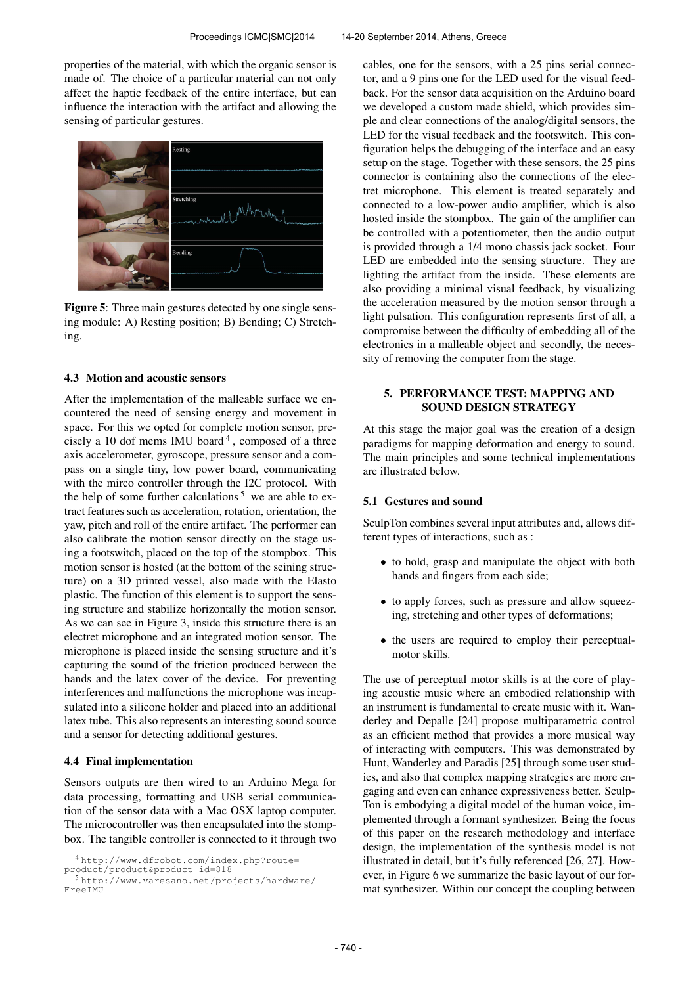properties of the material, with which the organic sensor is made of. The choice of a particular material can not only affect the haptic feedback of the entire interface, but can influence the interaction with the artifact and allowing the sensing of particular gestures.



Figure 5: Three main gestures detected by one single sensing module: A) Resting position; B) Bending; C) Stretching.

## 4.3 Motion and acoustic sensors

After the implementation of the malleable surface we encountered the need of sensing energy and movement in space. For this we opted for complete motion sensor, precisely a 10 dof mems IMU board<sup>4</sup>, composed of a three axis accelerometer, gyroscope, pressure sensor and a compass on a single tiny, low power board, communicating with the mirco controller through the I2C protocol. With the help of some further calculations<sup>5</sup> we are able to extract features such as acceleration, rotation, orientation, the yaw, pitch and roll of the entire artifact. The performer can also calibrate the motion sensor directly on the stage using a footswitch, placed on the top of the stompbox. This motion sensor is hosted (at the bottom of the seining structure) on a 3D printed vessel, also made with the Elasto plastic. The function of this element is to support the sensing structure and stabilize horizontally the motion sensor. As we can see in Figure 3, inside this structure there is an electret microphone and an integrated motion sensor. The microphone is placed inside the sensing structure and it's capturing the sound of the friction produced between the hands and the latex cover of the device. For preventing interferences and malfunctions the microphone was incapsulated into a silicone holder and placed into an additional latex tube. This also represents an interesting sound source and a sensor for detecting additional gestures.

#### 4.4 Final implementation

Sensors outputs are then wired to an Arduino Mega for data processing, formatting and USB serial communication of the sensor data with a Mac OSX laptop computer. The microcontroller was then encapsulated into the stompbox. The tangible controller is connected to it through two cables, one for the sensors, with a 25 pins serial connector, and a 9 pins one for the LED used for the visual feedback. For the sensor data acquisition on the Arduino board we developed a custom made shield, which provides simple and clear connections of the analog/digital sensors, the LED for the visual feedback and the footswitch. This configuration helps the debugging of the interface and an easy setup on the stage. Together with these sensors, the 25 pins connector is containing also the connections of the electret microphone. This element is treated separately and connected to a low-power audio amplifier, which is also hosted inside the stompbox. The gain of the amplifier can be controlled with a potentiometer, then the audio output is provided through a 1/4 mono chassis jack socket. Four LED are embedded into the sensing structure. They are lighting the artifact from the inside. These elements are also providing a minimal visual feedback, by visualizing the acceleration measured by the motion sensor through a light pulsation. This configuration represents first of all, a compromise between the difficulty of embedding all of the electronics in a malleable object and secondly, the necessity of removing the computer from the stage.

# 5. PERFORMANCE TEST: MAPPING AND SOUND DESIGN STRATEGY

At this stage the major goal was the creation of a design paradigms for mapping deformation and energy to sound. The main principles and some technical implementations are illustrated below.

#### 5.1 Gestures and sound

SculpTon combines several input attributes and, allows different types of interactions, such as :

- to hold, grasp and manipulate the object with both hands and fingers from each side;
- to apply forces, such as pressure and allow squeezing, stretching and other types of deformations;
- the users are required to employ their perceptualmotor skills.

The use of perceptual motor skills is at the core of playing acoustic music where an embodied relationship with an instrument is fundamental to create music with it. Wanderley and Depalle [24] propose multiparametric control as an efficient method that provides a more musical way of interacting with computers. This was demonstrated by Hunt, Wanderley and Paradis [25] through some user studies, and also that complex mapping strategies are more engaging and even can enhance expressiveness better. Sculp-Ton is embodying a digital model of the human voice, implemented through a formant synthesizer. Being the focus of this paper on the research methodology and interface design, the implementation of the synthesis model is not illustrated in detail, but it's fully referenced [26, 27]. However, in Figure 6 we summarize the basic layout of our format synthesizer. Within our concept the coupling between

<sup>4</sup> [http://www.dfrobot.com/index.php?route=](http://www.dfrobot.com/index.php?route=product/product&product_id=818) [product/product&product\\_id=818](http://www.dfrobot.com/index.php?route=product/product&product_id=818)

<sup>5</sup> [http://www.varesano.net/projects/hardware/](http://www.varesano.net/projects/hardware/FreeIMU) [FreeIMU](http://www.varesano.net/projects/hardware/FreeIMU)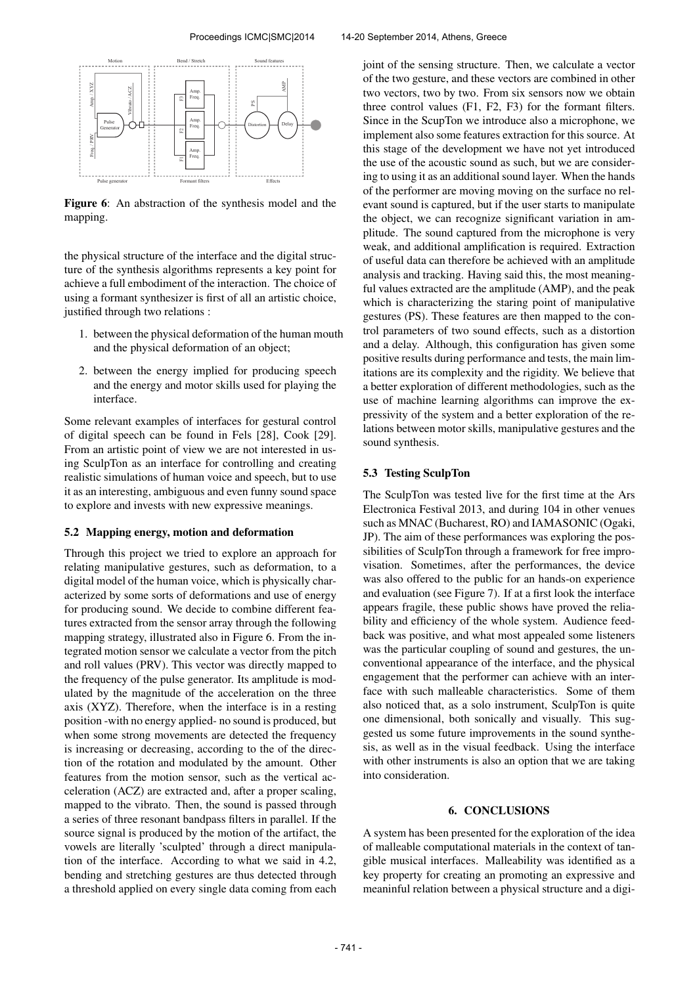

Figure 6: An abstraction of the synthesis model and the mapping.

the physical structure of the interface and the digital structure of the synthesis algorithms represents a key point for achieve a full embodiment of the interaction. The choice of using a formant synthesizer is first of all an artistic choice, justified through two relations :

- 1. between the physical deformation of the human mouth and the physical deformation of an object;
- 2. between the energy implied for producing speech and the energy and motor skills used for playing the interface.

Some relevant examples of interfaces for gestural control of digital speech can be found in Fels [28], Cook [29]. From an artistic point of view we are not interested in using SculpTon as an interface for controlling and creating realistic simulations of human voice and speech, but to use it as an interesting, ambiguous and even funny sound space to explore and invests with new expressive meanings.

## 5.2 Mapping energy, motion and deformation

Through this project we tried to explore an approach for relating manipulative gestures, such as deformation, to a digital model of the human voice, which is physically characterized by some sorts of deformations and use of energy for producing sound. We decide to combine different features extracted from the sensor array through the following mapping strategy, illustrated also in Figure 6. From the integrated motion sensor we calculate a vector from the pitch and roll values (PRV). This vector was directly mapped to the frequency of the pulse generator. Its amplitude is modulated by the magnitude of the acceleration on the three axis (XYZ). Therefore, when the interface is in a resting position -with no energy applied- no sound is produced, but when some strong movements are detected the frequency is increasing or decreasing, according to the of the direction of the rotation and modulated by the amount. Other features from the motion sensor, such as the vertical acceleration (ACZ) are extracted and, after a proper scaling, mapped to the vibrato. Then, the sound is passed through a series of three resonant bandpass filters in parallel. If the source signal is produced by the motion of the artifact, the vowels are literally 'sculpted' through a direct manipulation of the interface. According to what we said in 4.2, bending and stretching gestures are thus detected through a threshold applied on every single data coming from each

joint of the sensing structure. Then, we calculate a vector of the two gesture, and these vectors are combined in other two vectors, two by two. From six sensors now we obtain three control values (F1, F2, F3) for the formant filters. Since in the ScupTon we introduce also a microphone, we implement also some features extraction for this source. At this stage of the development we have not yet introduced the use of the acoustic sound as such, but we are considering to using it as an additional sound layer. When the hands of the performer are moving moving on the surface no relevant sound is captured, but if the user starts to manipulate the object, we can recognize significant variation in amplitude. The sound captured from the microphone is very weak, and additional amplification is required. Extraction of useful data can therefore be achieved with an amplitude analysis and tracking. Having said this, the most meaningful values extracted are the amplitude (AMP), and the peak which is characterizing the staring point of manipulative gestures (PS). These features are then mapped to the control parameters of two sound effects, such as a distortion and a delay. Although, this configuration has given some positive results during performance and tests, the main limitations are its complexity and the rigidity. We believe that a better exploration of different methodologies, such as the use of machine learning algorithms can improve the expressivity of the system and a better exploration of the relations between motor skills, manipulative gestures and the sound synthesis.

#### 5.3 Testing SculpTon

The SculpTon was tested live for the first time at the Ars Electronica Festival 2013, and during 104 in other venues such as MNAC (Bucharest, RO) and IAMASONIC (Ogaki, JP). The aim of these performances was exploring the possibilities of SculpTon through a framework for free improvisation. Sometimes, after the performances, the device was also offered to the public for an hands-on experience and evaluation (see Figure 7). If at a first look the interface appears fragile, these public shows have proved the reliability and efficiency of the whole system. Audience feedback was positive, and what most appealed some listeners was the particular coupling of sound and gestures, the unconventional appearance of the interface, and the physical engagement that the performer can achieve with an interface with such malleable characteristics. Some of them also noticed that, as a solo instrument, SculpTon is quite one dimensional, both sonically and visually. This suggested us some future improvements in the sound synthesis, as well as in the visual feedback. Using the interface with other instruments is also an option that we are taking into consideration.

#### 6. CONCLUSIONS

A system has been presented for the exploration of the idea of malleable computational materials in the context of tangible musical interfaces. Malleability was identified as a key property for creating an promoting an expressive and meaninful relation between a physical structure and a digi-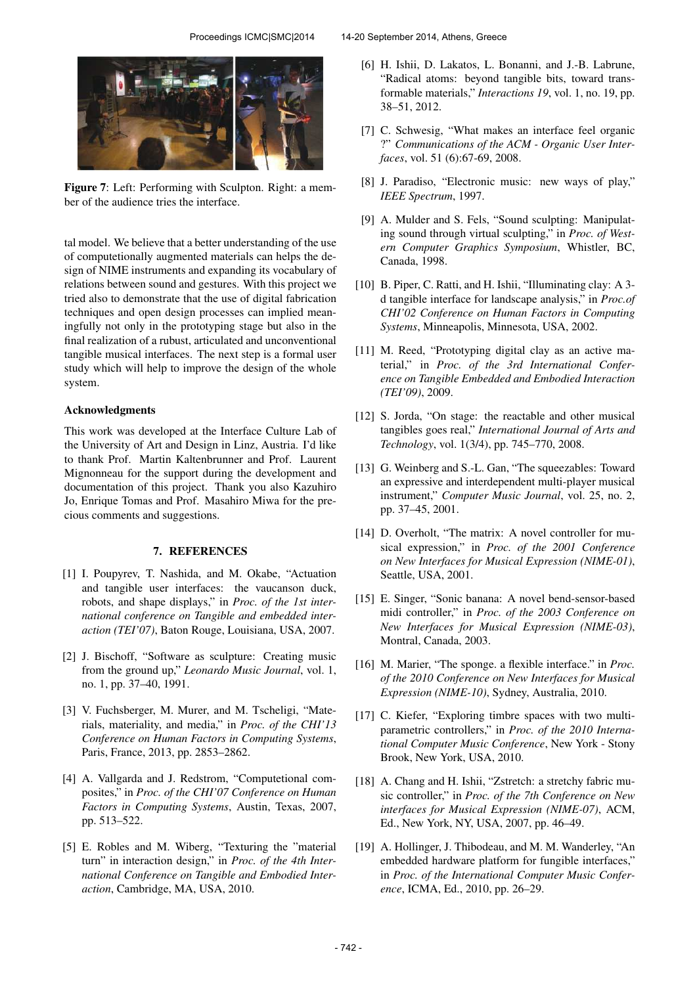

Figure 7: Left: Performing with Sculpton. Right: a member of the audience tries the interface.

tal model. We believe that a better understanding of the use of computetionally augmented materials can helps the design of NIME instruments and expanding its vocabulary of relations between sound and gestures. With this project we tried also to demonstrate that the use of digital fabrication techniques and open design processes can implied meaningfully not only in the prototyping stage but also in the final realization of a rubust, articulated and unconventional tangible musical interfaces. The next step is a formal user study which will help to improve the design of the whole system.

# Acknowledgments

This work was developed at the Interface Culture Lab of the University of Art and Design in Linz, Austria. I'd like to thank Prof. Martin Kaltenbrunner and Prof. Laurent Mignonneau for the support during the development and documentation of this project. Thank you also Kazuhiro Jo, Enrique Tomas and Prof. Masahiro Miwa for the precious comments and suggestions.

#### 7. REFERENCES

- [1] I. Poupyrev, T. Nashida, and M. Okabe, "Actuation and tangible user interfaces: the vaucanson duck, robots, and shape displays," in *Proc. of the 1st international conference on Tangible and embedded interaction (TEI'07)*, Baton Rouge, Louisiana, USA, 2007.
- [2] J. Bischoff, "Software as sculpture: Creating music from the ground up," *Leonardo Music Journal*, vol. 1, no. 1, pp. 37–40, 1991.
- [3] V. Fuchsberger, M. Murer, and M. Tscheligi, "Materials, materiality, and media," in *Proc. of the CHI'13 Conference on Human Factors in Computing Systems*, Paris, France, 2013, pp. 2853–2862.
- [4] A. Vallgarda and J. Redstrom, "Computetional composites," in *Proc. of the CHI'07 Conference on Human Factors in Computing Systems*, Austin, Texas, 2007, pp. 513–522.
- [5] E. Robles and M. Wiberg, "Texturing the "material turn" in interaction design," in *Proc. of the 4th International Conference on Tangible and Embodied Interaction*, Cambridge, MA, USA, 2010.
- [6] H. Ishii, D. Lakatos, L. Bonanni, and J.-B. Labrune, "Radical atoms: beyond tangible bits, toward transformable materials," *Interactions 19*, vol. 1, no. 19, pp. 38–51, 2012.
- [7] C. Schwesig, "What makes an interface feel organic ?" *Communications of the ACM - Organic User Interfaces*, vol. 51 (6):67-69, 2008.
- [8] J. Paradiso, "Electronic music: new ways of play," *IEEE Spectrum*, 1997.
- [9] A. Mulder and S. Fels, "Sound sculpting: Manipulating sound through virtual sculpting," in *Proc. of Western Computer Graphics Symposium*, Whistler, BC, Canada, 1998.
- [10] B. Piper, C. Ratti, and H. Ishii, "Illuminating clay: A 3d tangible interface for landscape analysis," in *Proc.of CHI'02 Conference on Human Factors in Computing Systems*, Minneapolis, Minnesota, USA, 2002.
- [11] M. Reed, "Prototyping digital clay as an active material," in *Proc. of the 3rd International Conference on Tangible Embedded and Embodied Interaction (TEI'09)*, 2009.
- [12] S. Jorda, "On stage: the reactable and other musical tangibles goes real," *International Journal of Arts and Technology*, vol. 1(3/4), pp. 745–770, 2008.
- [13] G. Weinberg and S.-L. Gan, "The squeezables: Toward an expressive and interdependent multi-player musical instrument," *Computer Music Journal*, vol. 25, no. 2, pp. 37–45, 2001.
- [14] D. Overholt, "The matrix: A novel controller for musical expression," in *Proc. of the 2001 Conference on New Interfaces for Musical Expression (NIME-01)*, Seattle, USA, 2001.
- [15] E. Singer, "Sonic banana: A novel bend-sensor-based midi controller," in *Proc. of the 2003 Conference on New Interfaces for Musical Expression (NIME-03)*, Montral, Canada, 2003.
- [16] M. Marier, "The sponge. a flexible interface." in *Proc. of the 2010 Conference on New Interfaces for Musical Expression (NIME-10)*, Sydney, Australia, 2010.
- [17] C. Kiefer, "Exploring timbre spaces with two multiparametric controllers," in *Proc. of the 2010 International Computer Music Conference*, New York - Stony Brook, New York, USA, 2010.
- [18] A. Chang and H. Ishii, "Zstretch: a stretchy fabric music controller," in *Proc. of the 7th Conference on New interfaces for Musical Expression (NIME-07)*, ACM, Ed., New York, NY, USA, 2007, pp. 46–49.
- [19] A. Hollinger, J. Thibodeau, and M. M. Wanderley, "An embedded hardware platform for fungible interfaces," in *Proc. of the International Computer Music Conference*, ICMA, Ed., 2010, pp. 26–29.